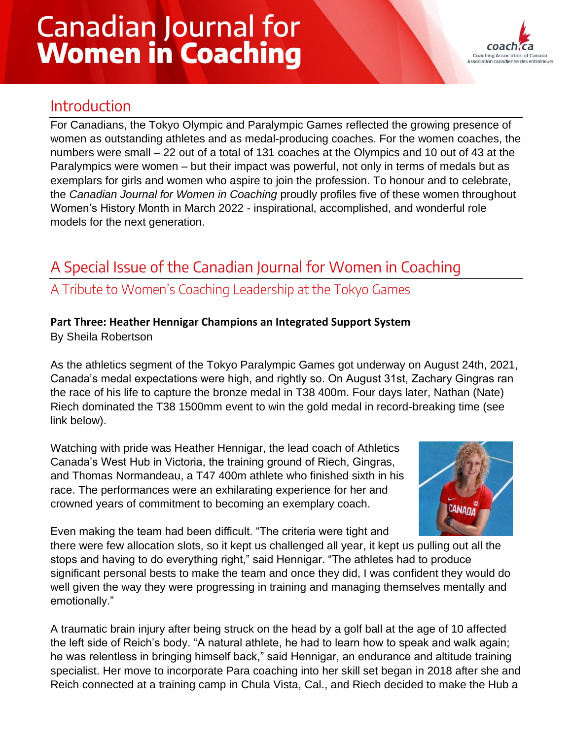# **Canadian Journal for Women in Coaching**



## Introduction

For Canadians, the Tokyo Olympic and Paralympic Games reflected the growing presence of women as outstanding athletes and as medal-producing coaches. For the women coaches, the numbers were small – 22 out of a total of 131 coaches at the Olympics and 10 out of 43 at the Paralympics were women – but their impact was powerful, not only in terms of medals but as exemplars for girls and women who aspire to join the profession. To honour and to celebrate, the *Canadian Journal for Women in Coaching* proudly profiles five of these women throughout Women's History Month in March 2022 - inspirational, accomplished, and wonderful role models for the next generation.

# A Special Issue of the Canadian Journal for Women in Coaching

### A Tribute to Women's Coaching Leadership at the Tokyo Games

#### **Part Three: Heather Hennigar Champions an Integrated Support System**

By Sheila Robertson

As the athletics segment of the Tokyo Paralympic Games got underway on August 24th, 2021, Canada's medal expectations were high, and rightly so. On August 31st, Zachary Gingras ran the race of his life to capture the bronze medal in T38 400m. Four days later, Nathan (Nate) Riech dominated the T38 1500mm event to win the gold medal in record-breaking time (see link below).

Watching with pride was Heather Hennigar, the lead coach of Athletics Canada's West Hub in Victoria, the training ground of Riech, Gingras, and Thomas Normandeau, a T47 400m athlete who finished sixth in his race. The performances were an exhilarating experience for her and crowned years of commitment to becoming an exemplary coach.



Even making the team had been difficult. "The criteria were tight and

there were few allocation slots, so it kept us challenged all year, it kept us pulling out all the stops and having to do everything right," said Hennigar. "The athletes had to produce significant personal bests to make the team and once they did, I was confident they would do well given the way they were progressing in training and managing themselves mentally and emotionally."

A traumatic brain injury after being struck on the head by a golf ball at the age of 10 affected the left side of Reich's body. "A natural athlete, he had to learn how to speak and walk again; he was relentless in bringing himself back," said Hennigar, an endurance and altitude training specialist. Her move to incorporate Para coaching into her skill set began in 2018 after she and Reich connected at a training camp in Chula Vista, Cal., and Riech decided to make the Hub a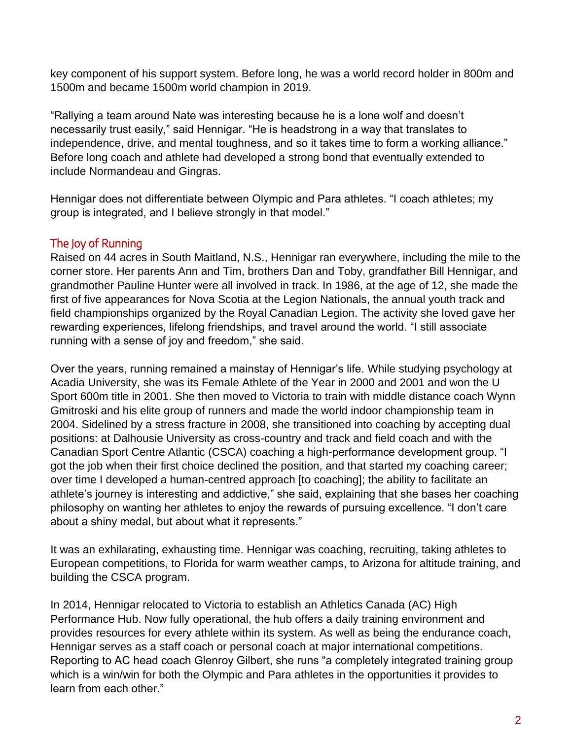key component of his support system. Before long, he was a world record holder in 800m and 1500m and became 1500m world champion in 2019.

"Rallying a team around Nate was interesting because he is a lone wolf and doesn't necessarily trust easily," said Hennigar. "He is headstrong in a way that translates to independence, drive, and mental toughness, and so it takes time to form a working alliance." Before long coach and athlete had developed a strong bond that eventually extended to include Normandeau and Gingras.

Hennigar does not differentiate between Olympic and Para athletes. "I coach athletes; my group is integrated, and I believe strongly in that model."

#### The Joy of Running

Raised on 44 acres in South Maitland, N.S., Hennigar ran everywhere, including the mile to the corner store. Her parents Ann and Tim, brothers Dan and Toby, grandfather Bill Hennigar, and grandmother Pauline Hunter were all involved in track. In 1986, at the age of 12, she made the first of five appearances for Nova Scotia at the Legion Nationals, the annual youth track and field championships organized by the Royal Canadian Legion. The activity she loved gave her rewarding experiences, lifelong friendships, and travel around the world. "I still associate running with a sense of joy and freedom," she said.

Over the years, running remained a mainstay of Hennigar's life. While studying psychology at Acadia University, she was its Female Athlete of the Year in 2000 and 2001 and won the U Sport 600m title in 2001. She then moved to Victoria to train with middle distance coach Wynn Gmitroski and his elite group of runners and made the world indoor championship team in 2004. Sidelined by a stress fracture in 2008, she transitioned into coaching by accepting dual positions: at Dalhousie University as cross-country and track and field coach and with the Canadian Sport Centre Atlantic (CSCA) coaching a high-performance development group. "I got the job when their first choice declined the position, and that started my coaching career; over time I developed a human-centred approach [to coaching]; the ability to facilitate an athlete's journey is interesting and addictive," she said, explaining that she bases her coaching philosophy on wanting her athletes to enjoy the rewards of pursuing excellence. "I don't care about a shiny medal, but about what it represents."

It was an exhilarating, exhausting time. Hennigar was coaching, recruiting, taking athletes to European competitions, to Florida for warm weather camps, to Arizona for altitude training, and building the CSCA program.

In 2014, Hennigar relocated to Victoria to establish an Athletics Canada (AC) High Performance Hub. Now fully operational, the hub offers a daily training environment and provides resources for every athlete within its system. As well as being the endurance coach, Hennigar serves as a staff coach or personal coach at major international competitions. Reporting to AC head coach Glenroy Gilbert, she runs "a completely integrated training group which is a win/win for both the Olympic and Para athletes in the opportunities it provides to learn from each other."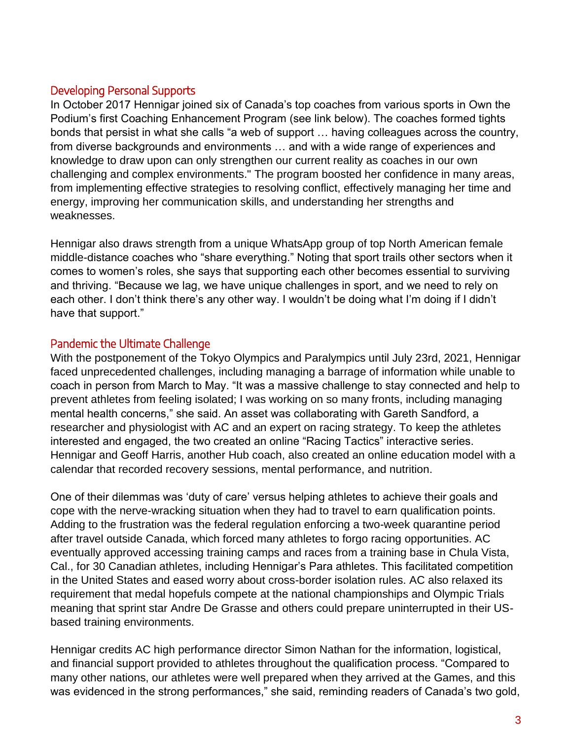#### Developing Personal Supports

In October 2017 Hennigar joined six of Canada's top coaches from various sports in Own the Podium's first Coaching Enhancement Program (see link below). The coaches formed tights bonds that persist in what she calls "a web of support … having colleagues across the country, from diverse backgrounds and environments … and with a wide range of experiences and knowledge to draw upon can only strengthen our current reality as coaches in our own challenging and complex environments." The program boosted her confidence in many areas, from implementing effective strategies to resolving conflict, effectively managing her time and energy, improving her communication skills, and understanding her strengths and weaknesses.

Hennigar also draws strength from a unique WhatsApp group of top North American female middle-distance coaches who "share everything." Noting that sport trails other sectors when it comes to women's roles, she says that supporting each other becomes essential to surviving and thriving. "Because we lag, we have unique challenges in sport, and we need to rely on each other. I don't think there's any other way. I wouldn't be doing what I'm doing if I didn't have that support."

#### Pandemic the Ultimate Challenge

With the postponement of the Tokyo Olympics and Paralympics until July 23rd, 2021, Hennigar faced unprecedented challenges, including managing a barrage of information while unable to coach in person from March to May. "It was a massive challenge to stay connected and help to prevent athletes from feeling isolated; I was working on so many fronts, including managing mental health concerns," she said. An asset was collaborating with Gareth Sandford, a researcher and physiologist with AC and an expert on racing strategy. To keep the athletes interested and engaged, the two created an online "Racing Tactics" interactive series. Hennigar and Geoff Harris, another Hub coach, also created an online education model with a calendar that recorded recovery sessions, mental performance, and nutrition.

One of their dilemmas was 'duty of care' versus helping athletes to achieve their goals and cope with the nerve-wracking situation when they had to travel to earn qualification points. Adding to the frustration was the federal regulation enforcing a two-week quarantine period after travel outside Canada, which forced many athletes to forgo racing opportunities. AC eventually approved accessing training camps and races from a training base in Chula Vista, Cal., for 30 Canadian athletes, including Hennigar's Para athletes. This facilitated competition in the United States and eased worry about cross-border isolation rules. AC also relaxed its requirement that medal hopefuls compete at the national championships and Olympic Trials meaning that sprint star Andre De Grasse and others could prepare uninterrupted in their USbased training environments.

Hennigar credits AC high performance director Simon Nathan for the information, logistical, and financial support provided to athletes throughout the qualification process. "Compared to many other nations, our athletes were well prepared when they arrived at the Games, and this was evidenced in the strong performances," she said, reminding readers of Canada's two gold,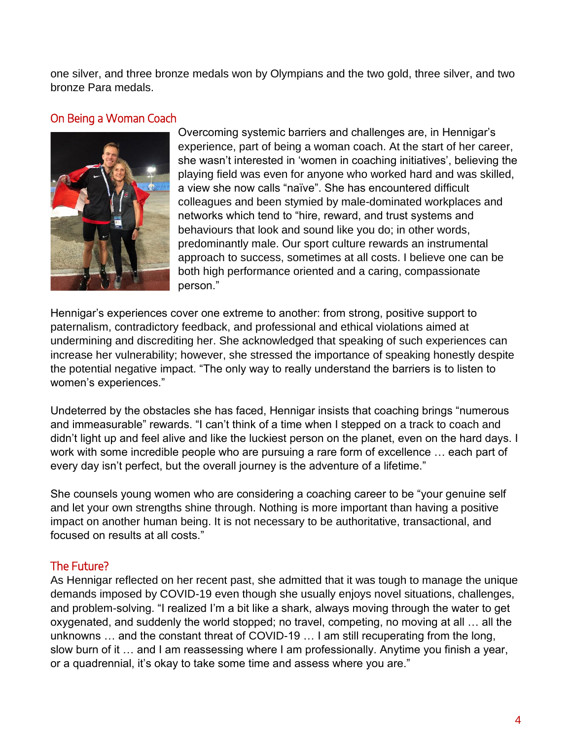one silver, and three bronze medals won by Olympians and the two gold, three silver, and two bronze Para medals.

#### On Being a Woman Coach



Overcoming systemic barriers and challenges are, in Hennigar's experience, part of being a woman coach. At the start of her career, she wasn't interested in 'women in coaching initiatives', believing the playing field was even for anyone who worked hard and was skilled, a view she now calls "naïve". She has encountered difficult colleagues and been stymied by male-dominated workplaces and networks which tend to "hire, reward, and trust systems and behaviours that look and sound like you do; in other words, predominantly male. Our sport culture rewards an instrumental approach to success, sometimes at all costs. I believe one can be both high performance oriented and a caring, compassionate person."

Hennigar's experiences cover one extreme to another: from strong, positive support to paternalism, contradictory feedback, and professional and ethical violations aimed at undermining and discrediting her. She acknowledged that speaking of such experiences can increase her vulnerability; however, she stressed the importance of speaking honestly despite the potential negative impact. "The only way to really understand the barriers is to listen to women's experiences."

Undeterred by the obstacles she has faced, Hennigar insists that coaching brings "numerous and immeasurable" rewards. "I can't think of a time when I stepped on a track to coach and didn't light up and feel alive and like the luckiest person on the planet, even on the hard days. I work with some incredible people who are pursuing a rare form of excellence … each part of every day isn't perfect, but the overall journey is the adventure of a lifetime."

She counsels young women who are considering a coaching career to be "your genuine self and let your own strengths shine through. Nothing is more important than having a positive impact on another human being. It is not necessary to be authoritative, transactional, and focused on results at all costs."

#### The Future?

As Hennigar reflected on her recent past, she admitted that it was tough to manage the unique demands imposed by COVID-19 even though she usually enjoys novel situations, challenges, and problem-solving. "I realized I'm a bit like a shark, always moving through the water to get oxygenated, and suddenly the world stopped; no travel, competing, no moving at all … all the unknowns … and the constant threat of COVID-19 … I am still recuperating from the long, slow burn of it … and I am reassessing where I am professionally. Anytime you finish a year, or a quadrennial, it's okay to take some time and assess where you are."